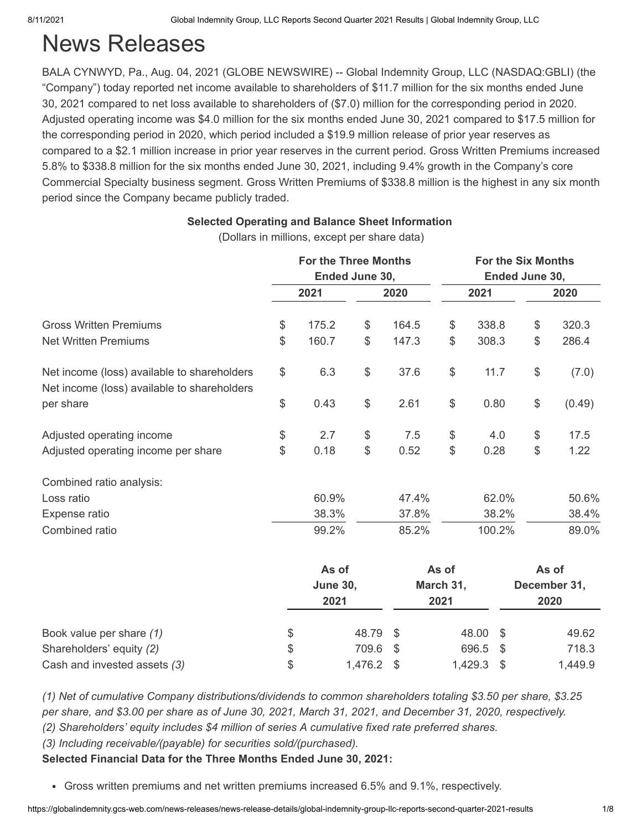# News Releases

BALA CYNWYD, Pa., Aug. 04, 2021 (GLOBE NEWSWIRE) -- Global Indemnity Group, LLC (NASDAQ:GBLI) (the "Company") today reported net income available to shareholders of \$11.7 million for the six months ended June 30, 2021 compared to net loss available to shareholders of (\$7.0) million for the corresponding period in 2020. Adjusted operating income was \$4.0 million for the six months ended June 30, 2021 compared to \$17.5 million for the corresponding period in 2020, which period included a \$19.9 million release of prior year reserves as compared to a \$2.1 million increase in prior year reserves in the current period. Gross Written Premiums increased 5.8% to \$338.8 million for the six months ended June 30, 2021, including 9.4% growth in the Company's core Commercial Specialty business segment. Gross Written Premiums of \$338.8 million is the highest in any six month period since the Company became publicly traded.

|                                                                                            | <b>For the Three Months</b><br>Ended June 30, |                 |       |       | <b>For the Six Months</b><br>Ended June 30, |        |               |              |
|--------------------------------------------------------------------------------------------|-----------------------------------------------|-----------------|-------|-------|---------------------------------------------|--------|---------------|--------------|
|                                                                                            |                                               | 2021            |       | 2020  |                                             | 2021   | 2020          |              |
| <b>Gross Written Premiums</b>                                                              | $\, \, \raisebox{12pt}{$\scriptstyle \circ$}$ | 175.2           | \$    | 164.5 | \$                                          | 338.8  | \$            | 320.3        |
| <b>Net Written Premiums</b>                                                                | $\frac{1}{2}$                                 | 160.7           | \$    | 147.3 | \$                                          | 308.3  | \$            | 286.4        |
| Net income (loss) available to shareholders<br>Net income (loss) available to shareholders | \$                                            | 6.3             | $\$\$ | 37.6  | \$                                          | 11.7   | \$            | (7.0)        |
| per share                                                                                  | $\frac{1}{2}$                                 | 0.43            | \$    | 2.61  | \$                                          | 0.80   | \$            | (0.49)       |
| Adjusted operating income                                                                  | $\, \, \raisebox{12pt}{$\scriptstyle \circ$}$ | 2.7             | $\$\$ | 7.5   | \$                                          | 4.0    | $\frac{1}{2}$ | 17.5         |
| Adjusted operating income per share                                                        | \$                                            | 0.18            | $\$\$ | 0.52  | \$                                          | 0.28   | \$            | 1.22         |
| Combined ratio analysis:                                                                   |                                               |                 |       |       |                                             |        |               |              |
| Loss ratio                                                                                 |                                               | 60.9%           |       | 47.4% |                                             | 62.0%  |               | 50.6%        |
| Expense ratio                                                                              |                                               | 38.3%           |       | 37.8% |                                             | 38.2%  |               | 38.4%        |
| Combined ratio                                                                             |                                               | 99.2%           |       | 85.2% |                                             | 100.2% |               | 89.0%        |
|                                                                                            |                                               | As of           |       |       | As of                                       |        |               | As of        |
|                                                                                            |                                               | <b>June 30,</b> |       |       | March 31,                                   |        |               | December 31, |
|                                                                                            |                                               | 2021            |       |       | 2021                                        |        |               | 2020         |
|                                                                                            |                                               |                 |       |       |                                             |        |               |              |

**Selected Operating and Balance Sheet Information**  (Dollars in millions, except per share data)

*(1) Net of cumulative Company distributions/dividends to common shareholders totaling \$3.50 per share, \$3.25 per share, and \$3.00 per share as of June 30, 2021, March 31, 2021, and December 31, 2020, respectively.*

Book value per share *(1)* \$ 48.79 \$ 48.00 \$ 49.62 Shareholders' equity *(2)* \$ 709.6 \$ 696.5 \$ 718.3 Cash and invested assets *(3)* \$ 1,476.2 \$ 1,429.3 \$ 1,449.9

*(2) Shareholders' equity includes \$4 million of series A cumulative fixed rate preferred shares.*

*(3) Including receivable/(payable) for securities sold/(purchased).*

**Selected Financial Data for the Three Months Ended June 30, 2021:**

Gross written premiums and net written premiums increased 6.5% and 9.1%, respectively.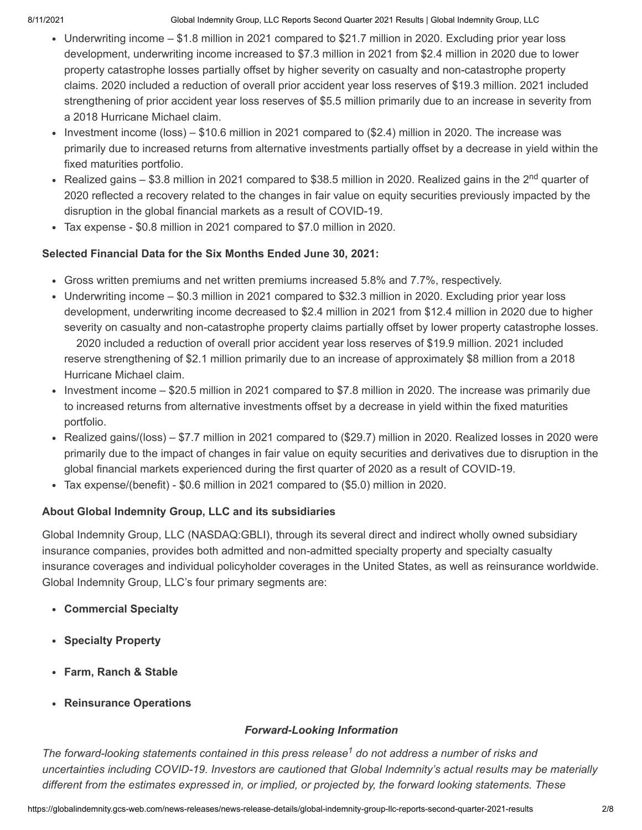- Underwriting income \$1.8 million in 2021 compared to \$21.7 million in 2020. Excluding prior year loss development, underwriting income increased to \$7.3 million in 2021 from \$2.4 million in 2020 due to lower property catastrophe losses partially offset by higher severity on casualty and non-catastrophe property claims. 2020 included a reduction of overall prior accident year loss reserves of \$19.3 million. 2021 included strengthening of prior accident year loss reserves of \$5.5 million primarily due to an increase in severity from a 2018 Hurricane Michael claim.
- Investment income (loss) \$10.6 million in 2021 compared to  $(\$2.4)$  million in 2020. The increase was primarily due to increased returns from alternative investments partially offset by a decrease in yield within the fixed maturities portfolio.
- Realized gains \$3.8 million in 2021 compared to \$38.5 million in 2020. Realized gains in the 2<sup>nd</sup> quarter of 2020 reflected a recovery related to the changes in fair value on equity securities previously impacted by the disruption in the global financial markets as a result of COVID-19.
- Tax expense \$0.8 million in 2021 compared to \$7.0 million in 2020.

## **Selected Financial Data for the Six Months Ended June 30, 2021:**

- Gross written premiums and net written premiums increased 5.8% and 7.7%, respectively.
- Underwriting income \$0.3 million in 2021 compared to \$32.3 million in 2020. Excluding prior year loss development, underwriting income decreased to \$2.4 million in 2021 from \$12.4 million in 2020 due to higher severity on casualty and non-catastrophe property claims partially offset by lower property catastrophe losses. 2020 included a reduction of overall prior accident year loss reserves of \$19.9 million. 2021 included reserve strengthening of \$2.1 million primarily due to an increase of approximately \$8 million from a 2018 Hurricane Michael claim.
- Investment income \$20.5 million in 2021 compared to \$7.8 million in 2020. The increase was primarily due to increased returns from alternative investments offset by a decrease in yield within the fixed maturities portfolio.
- Realized gains/(loss) \$7.7 million in 2021 compared to (\$29.7) million in 2020. Realized losses in 2020 were primarily due to the impact of changes in fair value on equity securities and derivatives due to disruption in the global financial markets experienced during the first quarter of 2020 as a result of COVID-19.
- Tax expense/(benefit) \$0.6 million in 2021 compared to (\$5.0) million in 2020.

## **About Global Indemnity Group, LLC and its subsidiaries**

Global Indemnity Group, LLC (NASDAQ:GBLI), through its several direct and indirect wholly owned subsidiary insurance companies, provides both admitted and non-admitted specialty property and specialty casualty insurance coverages and individual policyholder coverages in the United States, as well as reinsurance worldwide. Global Indemnity Group, LLC's four primary segments are:

- **Commercial Specialty**
- **Specialty Property**
- **Farm, Ranch & Stable**
- **Reinsurance Operations**

## *Forward-Looking Information*

The forward-looking statements contained in this press release<sup>1</sup> do not address a number of risks and *uncertainties including COVID-19. Investors are cautioned that Global Indemnity's actual results may be materially different from the estimates expressed in, or implied, or projected by, the forward looking statements. These*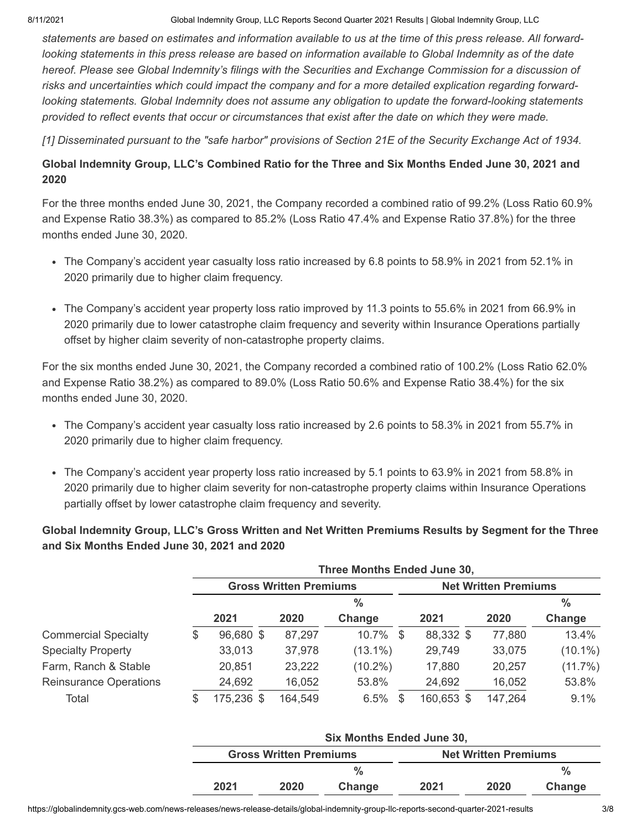*statements are based on estimates and information available to us at the time of this press release. All forwardlooking statements in this press release are based on information available to Global Indemnity as of the date hereof. Please see Global Indemnity's filings with the Securities and Exchange Commission for a discussion of risks and uncertainties which could impact the company and for a more detailed explication regarding forwardlooking statements. Global Indemnity does not assume any obligation to update the forward-looking statements provided to reflect events that occur or circumstances that exist after the date on which they were made.* 

*[1] Disseminated pursuant to the "safe harbor" provisions of Section 21E of the Security Exchange Act of 1934.*

### **Global Indemnity Group, LLC's Combined Ratio for the Three and Six Months Ended June 30, 2021 and 2020**

For the three months ended June 30, 2021, the Company recorded a combined ratio of 99.2% (Loss Ratio 60.9% and Expense Ratio 38.3%) as compared to 85.2% (Loss Ratio 47.4% and Expense Ratio 37.8%) for the three months ended June 30, 2020.

- The Company's accident year casualty loss ratio increased by 6.8 points to 58.9% in 2021 from 52.1% in 2020 primarily due to higher claim frequency.
- The Company's accident year property loss ratio improved by 11.3 points to 55.6% in 2021 from 66.9% in 2020 primarily due to lower catastrophe claim frequency and severity within Insurance Operations partially offset by higher claim severity of non-catastrophe property claims.

For the six months ended June 30, 2021, the Company recorded a combined ratio of 100.2% (Loss Ratio 62.0% and Expense Ratio 38.2%) as compared to 89.0% (Loss Ratio 50.6% and Expense Ratio 38.4%) for the six months ended June 30, 2020.

- The Company's accident year casualty loss ratio increased by 2.6 points to 58.3% in 2021 from 55.7% in 2020 primarily due to higher claim frequency.
- The Company's accident year property loss ratio increased by 5.1 points to 63.9% in 2021 from 58.8% in 2020 primarily due to higher claim severity for non-catastrophe property claims within Insurance Operations partially offset by lower catastrophe claim frequency and severity.

#### **Global Indemnity Group, LLC's Gross Written and Net Written Premiums Results by Segment for the Three and Six Months Ended June 30, 2021 and 2020**

|                               | Three Months Ended June 30, |            |                               |            |                             |         |               |  |  |  |
|-------------------------------|-----------------------------|------------|-------------------------------|------------|-----------------------------|---------|---------------|--|--|--|
|                               |                             |            | <b>Gross Written Premiums</b> |            | <b>Net Written Premiums</b> |         |               |  |  |  |
|                               |                             | $\%$       |                               |            |                             |         | $\frac{0}{0}$ |  |  |  |
|                               |                             | 2021       | 2020                          | Change     | 2021                        | 2020    | Change        |  |  |  |
| <b>Commercial Specialty</b>   | \$                          | 96,680 \$  | 87,297                        | 10.7% \$   | 88,332 \$                   | 77,880  | 13.4%         |  |  |  |
| <b>Specialty Property</b>     |                             | 33,013     | 37,978                        | $(13.1\%)$ | 29,749                      | 33,075  | $(10.1\%)$    |  |  |  |
| Farm, Ranch & Stable          |                             | 20,851     | 23,222                        | $(10.2\%)$ | 17,880                      | 20,257  | $(11.7\%)$    |  |  |  |
| <b>Reinsurance Operations</b> |                             | 24,692     | 16,052                        | 53.8%      | 24,692                      | 16,052  | 53.8%         |  |  |  |
| Total                         | S                           | 175,236 \$ | 164,549                       | 6.5%       | 160,653 \$                  | 147,264 | 9.1%          |  |  |  |

|      |                               | <b>Six Months Ended June 30,</b> |      |                             |               |
|------|-------------------------------|----------------------------------|------|-----------------------------|---------------|
|      | <b>Gross Written Premiums</b> |                                  |      | <b>Net Written Premiums</b> |               |
|      |                               | $\frac{0}{2}$                    |      |                             | $\frac{0}{2}$ |
| 2021 | 2020                          | Change                           | 2021 | 2020                        | Change        |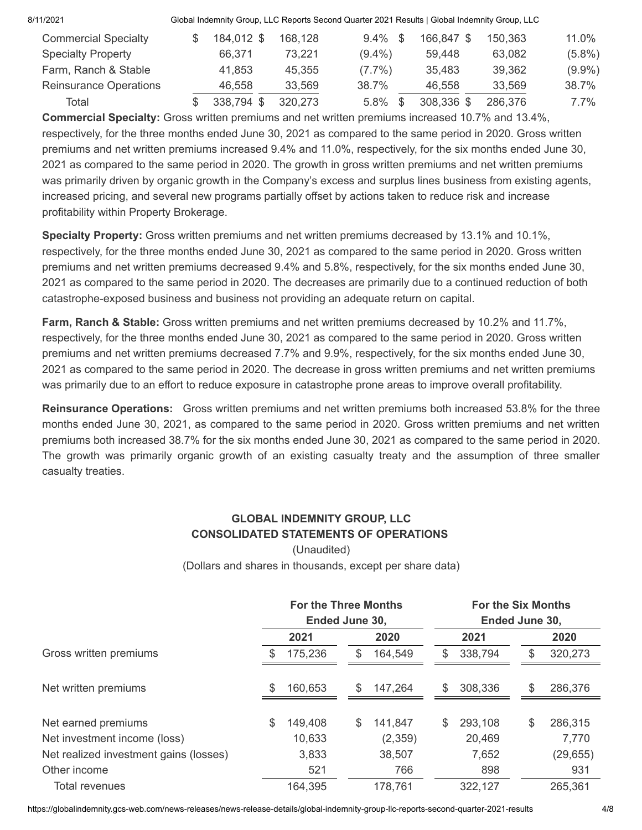| 8/11/2021                     |            |         | Global Indemnity Group, LLC Reports Second Quarter 2021 Results   Global Indemnity Group, LLC |            |         |           |
|-------------------------------|------------|---------|-----------------------------------------------------------------------------------------------|------------|---------|-----------|
| <b>Commercial Specialty</b>   | 184,012 \$ | 168,128 | $9.4\%$ \$                                                                                    | 166.847 \$ | 150,363 | 11.0%     |
| <b>Specialty Property</b>     | 66.371     | 73,221  | $(9.4\%)$                                                                                     | 59,448     | 63,082  | $(5.8\%)$ |
| Farm, Ranch & Stable          | 41,853     | 45,355  | $(7.7\%)$                                                                                     | 35,483     | 39,362  | $(9.9\%)$ |
| <b>Reinsurance Operations</b> | 46.558     | 33,569  | 38.7%                                                                                         | 46.558     | 33,569  | 38.7%     |
| Total                         | 338,794 \$ | 320,273 | 5.8%                                                                                          | 308,336 \$ | 286,376 | $7.7\%$   |
|                               |            |         |                                                                                               |            |         |           |

**Commercial Specialty:** Gross written premiums and net written premiums increased 10.7% and 13.4%, respectively, for the three months ended June 30, 2021 as compared to the same period in 2020. Gross written premiums and net written premiums increased 9.4% and 11.0%, respectively, for the six months ended June 30, 2021 as compared to the same period in 2020. The growth in gross written premiums and net written premiums was primarily driven by organic growth in the Company's excess and surplus lines business from existing agents, increased pricing, and several new programs partially offset by actions taken to reduce risk and increase profitability within Property Brokerage.

**Specialty Property:** Gross written premiums and net written premiums decreased by 13.1% and 10.1%, respectively, for the three months ended June 30, 2021 as compared to the same period in 2020. Gross written premiums and net written premiums decreased 9.4% and 5.8%, respectively, for the six months ended June 30, 2021 as compared to the same period in 2020. The decreases are primarily due to a continued reduction of both catastrophe-exposed business and business not providing an adequate return on capital.

**Farm, Ranch & Stable:** Gross written premiums and net written premiums decreased by 10.2% and 11.7%, respectively, for the three months ended June 30, 2021 as compared to the same period in 2020. Gross written premiums and net written premiums decreased 7.7% and 9.9%, respectively, for the six months ended June 30, 2021 as compared to the same period in 2020. The decrease in gross written premiums and net written premiums was primarily due to an effort to reduce exposure in catastrophe prone areas to improve overall profitability.

**Reinsurance Operations:** Gross written premiums and net written premiums both increased 53.8% for the three months ended June 30, 2021, as compared to the same period in 2020. Gross written premiums and net written premiums both increased 38.7% for the six months ended June 30, 2021 as compared to the same period in 2020. The growth was primarily organic growth of an existing casualty treaty and the assumption of three smaller casualty treaties.

#### **GLOBAL INDEMNITY GROUP, LLC CONSOLIDATED STATEMENTS OF OPERATIONS** (Unaudited)

(Dollars and shares in thousands, except per share data)

|                                        |    | <b>For the Three Months</b> |               |    |         |                | <b>For the Six Months</b> |  |  |
|----------------------------------------|----|-----------------------------|---------------|----|---------|----------------|---------------------------|--|--|
|                                        |    | Ended June 30,              |               |    |         | Ended June 30, |                           |  |  |
|                                        |    | 2021                        | 2020          |    | 2021    |                | 2020                      |  |  |
| Gross written premiums                 |    | 175,236                     | \$<br>164,549 | S  | 338,794 | S              | 320,273                   |  |  |
| Net written premiums                   | S  | 160,653                     | \$<br>147,264 | \$ | 308,336 | \$             | 286,376                   |  |  |
| Net earned premiums                    | \$ | 149,408                     | \$<br>141,847 | \$ | 293,108 | \$             | 286,315                   |  |  |
| Net investment income (loss)           |    | 10,633                      | (2,359)       |    | 20,469  |                | 7,770                     |  |  |
| Net realized investment gains (losses) |    | 3,833                       | 38,507        |    | 7,652   |                | (29, 655)                 |  |  |
| Other income                           |    | 521                         | 766           |    | 898     |                | 931                       |  |  |
| Total revenues                         |    | 164,395                     | 178,761       |    | 322,127 |                | 265,361                   |  |  |

https://globalindemnity.gcs-web.com/news-releases/news-release-details/global-indemnity-group-llc-reports-second-quarter-2021-results 4/8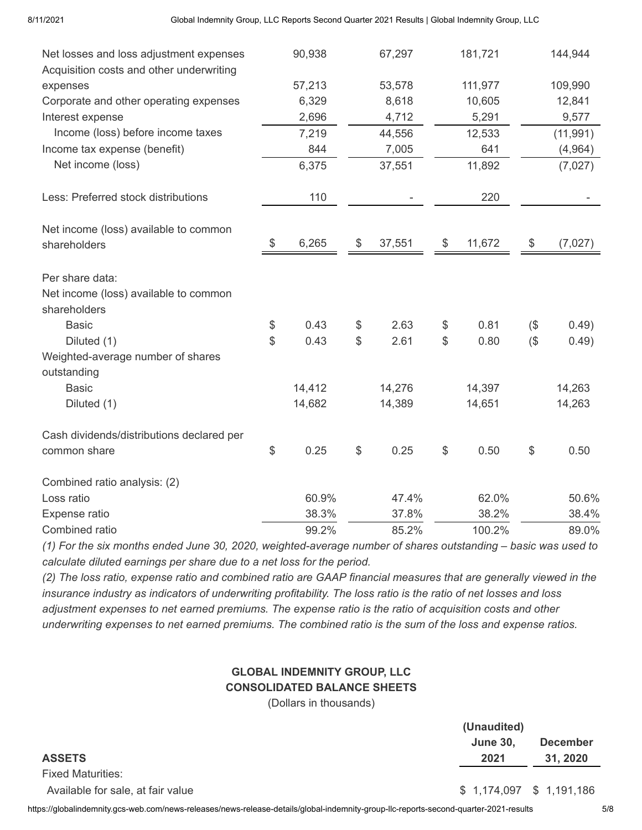|                                                                                     | 90,938      |               |        | 181,721      |        | 144,944   |
|-------------------------------------------------------------------------------------|-------------|---------------|--------|--------------|--------|-----------|
| Net losses and loss adjustment expenses<br>Acquisition costs and other underwriting |             |               | 67,297 |              |        |           |
| expenses                                                                            | 57,213      |               | 53,578 | 111,977      |        | 109,990   |
| Corporate and other operating expenses                                              | 6,329       |               | 8,618  | 10,605       |        | 12,841    |
| Interest expense                                                                    | 2,696       |               | 4,712  | 5,291        |        | 9,577     |
| Income (loss) before income taxes                                                   | 7,219       |               | 44,556 | 12,533       |        | (11, 991) |
| Income tax expense (benefit)                                                        | 844         |               | 7,005  | 641          |        | (4,964)   |
| Net income (loss)                                                                   | 6,375       |               | 37,551 | 11,892       |        | (7,027)   |
|                                                                                     |             |               |        |              |        |           |
| Less: Preferred stock distributions                                                 | 110         |               |        | 220          |        |           |
| Net income (loss) available to common                                               |             |               |        |              |        |           |
| shareholders                                                                        | \$<br>6,265 | \$            | 37,551 | \$<br>11,672 | \$     | (7,027)   |
| Per share data:                                                                     |             |               |        |              |        |           |
| Net income (loss) available to common                                               |             |               |        |              |        |           |
| shareholders                                                                        |             |               |        |              |        |           |
| <b>Basic</b>                                                                        | \$<br>0.43  | \$            | 2.63   | \$<br>0.81   | $($ \$ | 0.49)     |
| Diluted (1)                                                                         | \$<br>0.43  | \$            | 2.61   | \$<br>0.80   | $($ \$ | 0.49)     |
| Weighted-average number of shares                                                   |             |               |        |              |        |           |
| outstanding                                                                         |             |               |        |              |        |           |
| <b>Basic</b>                                                                        | 14,412      |               | 14,276 | 14,397       |        | 14,263    |
| Diluted (1)                                                                         | 14,682      |               | 14,389 | 14,651       |        | 14,263    |
| Cash dividends/distributions declared per                                           |             |               |        |              |        |           |
| common share                                                                        | \$<br>0.25  | $\frac{1}{2}$ | 0.25   | \$<br>0.50   | \$     | 0.50      |
| Combined ratio analysis: (2)                                                        |             |               |        |              |        |           |
| Loss ratio                                                                          | 60.9%       |               | 47.4%  | 62.0%        |        | 50.6%     |
| Expense ratio                                                                       | 38.3%       |               | 37.8%  | 38.2%        |        | 38.4%     |
| Combined ratio                                                                      | 99.2%       |               | 85.2%  | 100.2%       |        | 89.0%     |

*(1) For the six months ended June 30, 2020, weighted-average number of shares outstanding – basic was used to calculate diluted earnings per share due to a net loss for the period.*

*(2) The loss ratio, expense ratio and combined ratio are GAAP financial measures that are generally viewed in the insurance industry as indicators of underwriting profitability. The loss ratio is the ratio of net losses and loss adjustment expenses to net earned premiums. The expense ratio is the ratio of acquisition costs and other underwriting expenses to net earned premiums. The combined ratio is the sum of the loss and expense ratios.*

## **GLOBAL INDEMNITY GROUP, LLC CONSOLIDATED BALANCE SHEETS**

(Dollars in thousands)

|                                   | (Unaudited)             |                 |  |  |
|-----------------------------------|-------------------------|-----------------|--|--|
|                                   | <b>June 30.</b>         | <b>December</b> |  |  |
| <b>ASSETS</b>                     | 2021                    | 31, 2020        |  |  |
| <b>Fixed Maturities:</b>          |                         |                 |  |  |
| Available for sale, at fair value | \$1,174,097 \$1,191,186 |                 |  |  |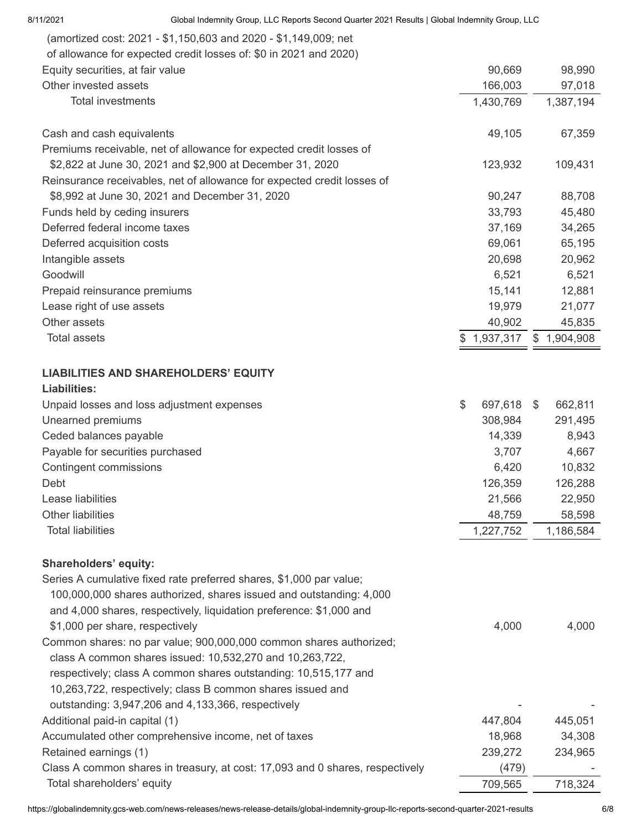| 8/11/2021                        | Global Indemnity Group, LLC Reports Second Quarter 2021 Results   Global Indemnity Group, LLC |       |            |             |
|----------------------------------|-----------------------------------------------------------------------------------------------|-------|------------|-------------|
|                                  | (amortized cost: 2021 - \$1,150,603 and 2020 - \$1,149,009; net                               |       |            |             |
|                                  | of allowance for expected credit losses of: \$0 in 2021 and 2020)                             |       |            |             |
| Equity securities, at fair value |                                                                                               |       | 90,669     | 98,990      |
| Other invested assets            |                                                                                               |       | 166,003    | 97,018      |
| <b>Total investments</b>         |                                                                                               |       | 1,430,769  | 1,387,194   |
| Cash and cash equivalents        |                                                                                               |       | 49,105     | 67,359      |
|                                  | Premiums receivable, net of allowance for expected credit losses of                           |       |            |             |
|                                  | \$2,822 at June 30, 2021 and \$2,900 at December 31, 2020                                     |       | 123,932    | 109,431     |
|                                  | Reinsurance receivables, net of allowance for expected credit losses of                       |       |            |             |
|                                  | \$8,992 at June 30, 2021 and December 31, 2020                                                |       | 90,247     | 88,708      |
| Funds held by ceding insurers    |                                                                                               |       | 33,793     | 45,480      |
| Deferred federal income taxes    |                                                                                               |       | 37,169     | 34,265      |
| Deferred acquisition costs       |                                                                                               |       | 69,061     | 65,195      |
| Intangible assets                |                                                                                               |       | 20,698     | 20,962      |
| Goodwill                         |                                                                                               |       | 6,521      | 6,521       |
| Prepaid reinsurance premiums     |                                                                                               |       | 15,141     | 12,881      |
| Lease right of use assets        |                                                                                               |       | 19,979     | 21,077      |
| Other assets                     |                                                                                               |       | 40,902     | 45,835      |
| <b>Total assets</b>              |                                                                                               | \$    | 1,937,317  | \$1,904,908 |
|                                  | <b>LIABILITIES AND SHAREHOLDERS' EQUITY</b>                                                   |       |            |             |
| <b>Liabilities:</b>              |                                                                                               |       |            |             |
|                                  | Unpaid losses and loss adjustment expenses                                                    | $\$\$ | 697,618 \$ | 662,811     |
| Unearned premiums                |                                                                                               |       | 308,984    | 291,495     |
| Ceded balances payable           |                                                                                               |       | 14,339     | 8,943       |
| Payable for securities purchased |                                                                                               |       | 3,707      | 4,667       |
| <b>Contingent commissions</b>    |                                                                                               |       | 6,420      | 10,832      |
| Debt                             |                                                                                               |       | 126,359    | 126,288     |
| Lease liabilities                |                                                                                               |       | 21,566     | 22,950      |
| <b>Other liabilities</b>         |                                                                                               |       | 48,759     | 58,598      |
| <b>Total liabilities</b>         |                                                                                               |       | 1,227,752  | 1,186,584   |
| <b>Shareholders' equity:</b>     |                                                                                               |       |            |             |
|                                  | Series A cumulative fixed rate preferred shares, \$1,000 par value;                           |       |            |             |
|                                  | 100,000,000 shares authorized, shares issued and outstanding: 4,000                           |       |            |             |
|                                  | and 4,000 shares, respectively, liquidation preference: \$1,000 and                           |       |            |             |
| \$1,000 per share, respectively  |                                                                                               |       | 4,000      | 4,000       |
|                                  | Common shares: no par value; 900,000,000 common shares authorized;                            |       |            |             |
|                                  | class A common shares issued: 10,532,270 and 10,263,722,                                      |       |            |             |
|                                  | respectively; class A common shares outstanding: 10,515,177 and                               |       |            |             |
|                                  | 10,263,722, respectively; class B common shares issued and                                    |       |            |             |
|                                  | outstanding: 3,947,206 and 4,133,366, respectively                                            |       |            |             |
| Additional paid-in capital (1)   |                                                                                               |       | 447,804    | 445,051     |
|                                  | Accumulated other comprehensive income, net of taxes                                          |       | 18,968     | 34,308      |
| Retained earnings (1)            |                                                                                               |       | 239,272    | 234,965     |
|                                  | Class A common shares in treasury, at cost: 17,093 and 0 shares, respectively                 |       | (479)      |             |
| Total shareholders' equity       |                                                                                               |       | 709,565    | 718,324     |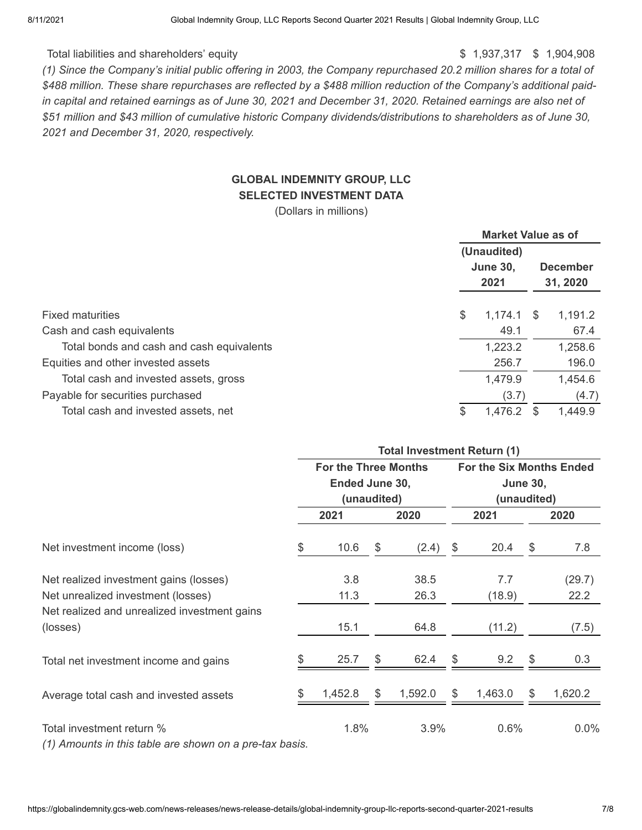#### Total liabilities and shareholders' equity **but a strategies of the strategies of the strategies of the strategies of the strategies of the strategies of the strategies of the strategies of the strategies of the strategies**

*(1) Since the Company's initial public offering in 2003, the Company repurchased 20.2 million shares for a total of \$488 million. These share repurchases are reflected by a \$488 million reduction of the Company's additional paidin capital and retained earnings as of June 30, 2021 and December 31, 2020. Retained earnings are also net of \$51 million and \$43 million of cumulative historic Company dividends/distributions to shareholders as of June 30, 2021 and December 31, 2020, respectively.*

## **GLOBAL INDEMNITY GROUP, LLC SELECTED INVESTMENT DATA**

(Dollars in millions)

|                                           | <b>Market Value as of</b> |         |                 |          |  |
|-------------------------------------------|---------------------------|---------|-----------------|----------|--|
|                                           | (Unaudited)               |         |                 |          |  |
|                                           | <b>June 30,</b>           |         | <b>December</b> |          |  |
|                                           |                           | 2021    |                 | 31, 2020 |  |
| <b>Fixed maturities</b>                   | \$                        | 1,174.1 | \$              | 1,191.2  |  |
| Cash and cash equivalents                 |                           | 49.1    |                 | 67.4     |  |
| Total bonds and cash and cash equivalents |                           | 1,223.2 |                 | 1,258.6  |  |
| Equities and other invested assets        |                           | 256.7   |                 | 196.0    |  |
| Total cash and invested assets, gross     |                           | 1,479.9 |                 | 1,454.6  |  |
| Payable for securities purchased          |                           | (3.7)   |                 | (4.7)    |  |
| Total cash and invested assets, net       | \$                        | 1,476.2 |                 | 1,449.9  |  |

|                                                         | <b>Total Investment Return (1)</b> |             |    |         |                 |                                 |     |         |  |
|---------------------------------------------------------|------------------------------------|-------------|----|---------|-----------------|---------------------------------|-----|---------|--|
|                                                         | <b>For the Three Months</b>        |             |    |         |                 | <b>For the Six Months Ended</b> |     |         |  |
|                                                         | Ended June 30,                     |             |    |         | <b>June 30,</b> |                                 |     |         |  |
|                                                         |                                    | (unaudited) |    |         |                 | (unaudited)                     |     |         |  |
|                                                         |                                    | 2021        |    | 2020    |                 | 2021                            |     | 2020    |  |
| Net investment income (loss)                            | \$                                 | 10.6        | \$ | (2.4)   | \$              | 20.4                            | \$  | 7.8     |  |
| Net realized investment gains (losses)                  |                                    | 3.8         |    | 38.5    |                 | 7.7                             |     | (29.7)  |  |
| Net unrealized investment (losses)                      |                                    | 11.3        |    | 26.3    |                 | (18.9)                          |     | 22.2    |  |
| Net realized and unrealized investment gains            |                                    |             |    |         |                 |                                 |     |         |  |
| (losses)                                                |                                    | 15.1        |    | 64.8    |                 | (11.2)                          |     | (7.5)   |  |
| Total net investment income and gains                   |                                    | 25.7        | S  | 62.4    | \$              | 9.2                             | \$  | 0.3     |  |
| Average total cash and invested assets                  | \$                                 | 1,452.8     | S  | 1,592.0 | \$              | 1,463.0                         | \$. | 1,620.2 |  |
| Total investment return %                               |                                    | 1.8%        |    | 3.9%    |                 | 0.6%                            |     | $0.0\%$ |  |
| (1) Amounts in this table are shown on a pre-tax basis. |                                    |             |    |         |                 |                                 |     |         |  |